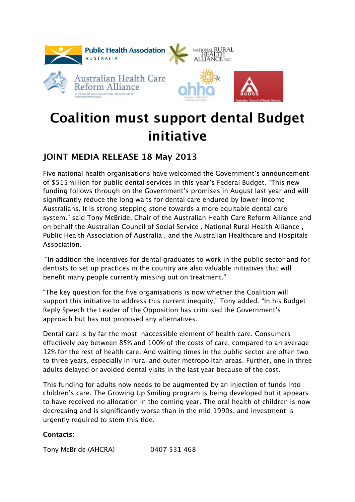

## **Coalition must support dental Budget initiative**

## **JOINT MEDIA RELEASE 18 May 2013**

Five national health organisations have welcomed the Government's announcement of \$515million for public dental services in this year's Federal Budget. "This new funding follows through on the Government's promises in August last year and will significantly reduce the long waits for dental care endured by lower-income Australians. It is strong stepping stone towards a more equitable dental care system." said Tony McBride, Chair of the Australian Health Care Reform Alliance and on behalf the Australian Council of Social Service , National Rural Health Alliance , Public Health Association of Australia , and the Australian Healthcare and Hospitals Association.

 "In addition the incentives for dental graduates to work in the public sector and for dentists to set up practices in the country are also valuable initiatives that will benefit many people currently missing out on treatment."

"The key question for the five organisations is now whether the Coalition will support this initiative to address this current inequity," Tony added. "In his Budget Reply Speech the Leader of the Opposition has criticised the Government's approach but has not proposed any alternatives.

Dental care is by far the most inaccessible element of health care. Consumers efectively pay between 85% and 100% of the costs of care, compared to an average 12% for the rest of health care. And waiting times in the public sector are often two to three years, especially in rural and outer metropolitan areas. Further, one in three adults delayed or avoided dental visits in the last year because of the cost.

This funding for adults now needs to be augmented by an injection of funds into children's care. The Growing Up Smiling program is being developed but it appears to have received no allocation in the coming year. The oral health of children is now decreasing and is significantly worse than in the mid 1990s, and investment is urgently required to stem this tide.

## **Contacts:**

Tony McBride (AHCRA) 0407 531 468